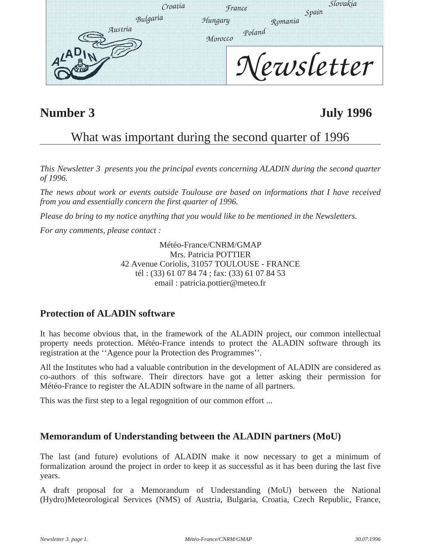| Croatia  |  | <b><i>France</i></b> | lovakia<br>Spain |
|----------|--|----------------------|------------------|
| Bulgaria |  | Hungary              | Romania          |
| Austria  |  | Poland<br>Morocco    |                  |
|          |  |                      | letter           |

### **Number 3 July 1996**

### What was important during the second quarter of 1996

*This Newsletter 3 presents you the principal events concerning ALADIN during the second quarter of 1996.* 

*The news about work or events outside Toulouse are based on informations that I have received from you and essentially concern the first quarter of 1996.* 

*Please do bring to my notice anything that you would like to be mentioned in the Newsletters.*

*For any comments, please contact :* 

Météo-France/CNRM/GMAP Mrs. Patricia POTTIER 42 Avenue Coriolis, 31057 TOULOUSE - FRANCE tél : (33) 61 07 84 74 ; fax: (33) 61 07 84 53 email : patricia.pottier@meteo.fr

#### **Protection of ALADIN software**

It has become obvious that, in the framework of the ALADIN project, our common intellectual property needs protection. Météo-France intends to protect the ALADIN software through its registration at the ''Agence pour la Protection des Programmes''.

All the Institutes who had a valuable contribution in the development of ALADIN are considered as co-authors of this software. Their directors have got a letter asking their permission for Météo-France to register the ALADIN software in the name of all partners.

This was the first step to a legal regognition of our common effort ...

#### **Memorandum of Understanding between the ALADIN partners (MoU)**

The last (and future) evolutions of ALADIN make it now necessary to get a minimum of formalization around the project in order to keep it as successful as it has been during the last five years.

A draft proposal for a Memorandum of Understanding (MoU) between the National (Hydro)Meteorological Services (NMS) of Austria, Bulgaria, Croatia, Czech Republic, France,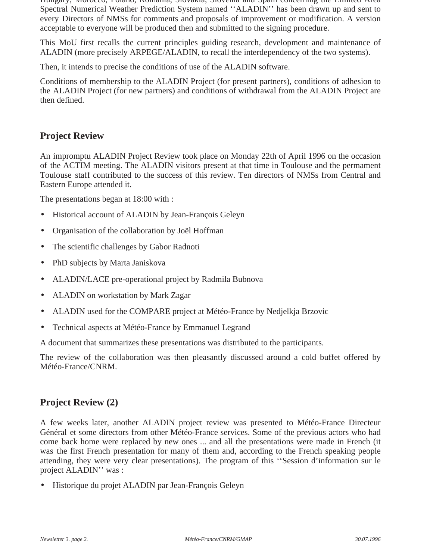Hungary, Morocco, Poland, Romania, Slovakia, Slovenia and Spain concerning the Limited Area Spectral Numerical Weather Prediction System named ''ALADIN'' has been drawn up and sent to every Directors of NMSs for comments and proposals of improvement or modification. A version acceptable to everyone will be produced then and submitted to the signing procedure.

This MoU first recalls the current principles guiding research, development and maintenance of ALADIN (more precisely ARPEGE/ALADIN, to recall the interdependency of the two systems).

Then, it intends to precise the conditions of use of the ALADIN software.

Conditions of membership to the ALADIN Project (for present partners), conditions of adhesion to the ALADIN Project (for new partners) and conditions of withdrawal from the ALADIN Project are then defined.

#### **Project Review**

An impromptu ALADIN Project Review took place on Monday 22th of April 1996 on the occasion of the ACTIM meeting. The ALADIN visitors present at that time in Toulouse and the permament Toulouse staff contributed to the success of this review. Ten directors of NMSs from Central and Eastern Europe attended it.

The presentations began at 18:00 with :

- Historical account of ALADIN by Jean-François Geleyn
- Organisation of the collaboration by Joël Hoffman
- The scientific challenges by Gabor Radnoti
- PhD subjects by Marta Janiskova
- ALADIN/LACE pre-operational project by Radmila Bubnova
- ALADIN on workstation by Mark Zagar
- ALADIN used for the COMPARE project at Météo-France by Nedjelkja Brzovic
- Technical aspects at Météo-France by Emmanuel Legrand

A document that summarizes these presentations was distributed to the participants.

The review of the collaboration was then pleasantly discussed around a cold buffet offered by Météo-France/CNRM.

#### **Project Review (2)**

A few weeks later, another ALADIN project review was presented to Météo-France Directeur Général et some directors from other Météo-France services. Some of the previous actors who had come back home were replaced by new ones ... and all the presentations were made in French (it was the first French presentation for many of them and, according to the French speaking people attending, they were very clear presentations). The program of this ''Session d'information sur le project ALADIN'' was :

• Historique du projet ALADIN par Jean-François Geleyn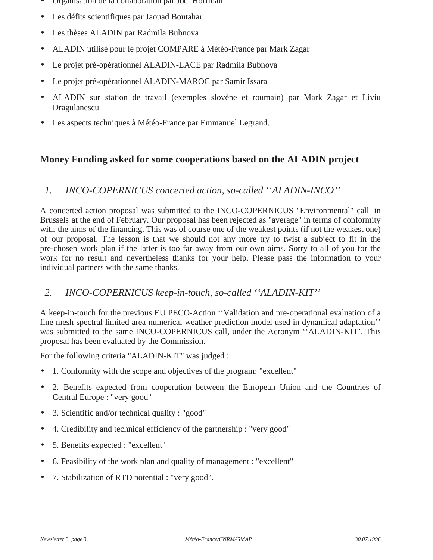- Organisation de la collaboration par Joêl Hoffman
- Les défits scientifiques par Jaouad Boutahar
- Les thèses ALADIN par Radmila Bubnova
- ALADIN utilisé pour le projet COMPARE à Météo-France par Mark Zagar
- Le projet pré-opérationnel ALADIN-LACE par Radmila Bubnova
- Le projet pré-opérationnel ALADIN-MAROC par Samir Issara
- ALADIN sur station de travail (exemples slovène et roumain) par Mark Zagar et Liviu Dragulanescu
- Les aspects techniques à Météo-France par Emmanuel Legrand.

#### **Money Funding asked for some cooperations based on the ALADIN project**

#### *1. INCO-COPERNICUS concerted action, so-called ''ALADIN-INCO''*

A concerted action proposal was submitted to the INCO-COPERNICUS "Environmental" call in Brussels at the end of February. Our proposal has been rejected as "average" in terms of conformity with the aims of the financing. This was of course one of the weakest points (if not the weakest one) of our proposal. The lesson is that we should not any more try to twist a subject to fit in the pre-chosen work plan if the latter is too far away from our own aims. Sorry to all of you for the work for no result and nevertheless thanks for your help. Please pass the information to your individual partners with the same thanks.

#### *2. INCO-COPERNICUS keep-in-touch, so-called ''ALADIN-KIT''*

A keep-in-touch for the previous EU PECO-Action ''Validation and pre-operational evaluation of a fine mesh spectral limited area numerical weather prediction model used in dynamical adaptation'' was submitted to the same INCO-COPERNICUS call, under the Acronym ''ALADIN-KIT'. This proposal has been evaluated by the Commission.

For the following criteria "ALADIN-KIT" was judged :

- 1. Conformity with the scope and objectives of the program: "excellent"
- 2. Benefits expected from cooperation between the European Union and the Countries of Central Europe : "very good"
- 3. Scientific and/or technical quality : "good"
- 4. Credibility and technical efficiency of the partnership : "very good"
- 5. Benefits expected : "excellent"
- 6. Feasibility of the work plan and quality of management : "excellent"
- 7. Stabilization of RTD potential : "very good".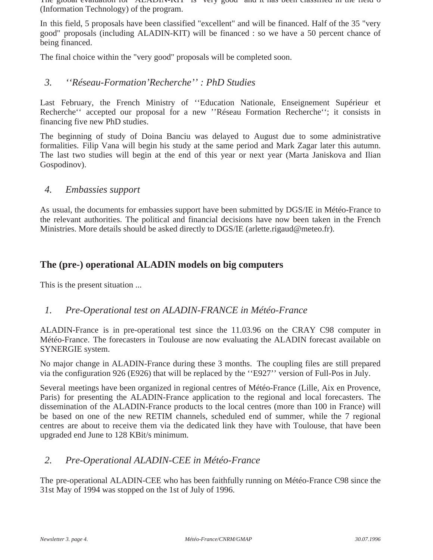The global evaluation for "ALADIN-KIT" is "very good" and it has been classified in the field 6 (Information Technology) of the program.

In this field, 5 proposals have been classified "excellent" and will be financed. Half of the 35 "very good" proposals (including ALADIN-KIT) will be financed : so we have a 50 percent chance of being financed.

The final choice within the "very good" proposals will be completed soon.

#### *3. ''Réseau-Formation'Recherche'' : PhD Studies*

Last February, the French Ministry of ''Education Nationale, Enseignement Supérieur et Recherche'' accepted our proposal for a new ''Réseau Formation Recherche''; it consists in financing five new PhD studies.

The beginning of study of Doina Banciu was delayed to August due to some administrative formalities. Filip Vana will begin his study at the same period and Mark Zagar later this autumn. The last two studies will begin at the end of this year or next year (Marta Janiskova and Ilian Gospodinov).

#### *4. Embassies support*

As usual, the documents for embassies support have been submitted by DGS/IE in Météo-France to the relevant authorities. The political and financial decisions have now been taken in the French Ministries. More details should be asked directly to DGS/IE (arlette.rigaud@meteo.fr).

#### **The (pre-) operational ALADIN models on big computers**

This is the present situation ...

#### *1. Pre-Operational test on ALADIN-FRANCE in Météo-France*

ALADIN-France is in pre-operational test since the 11.03.96 on the CRAY C98 computer in Météo-France. The forecasters in Toulouse are now evaluating the ALADIN forecast available on SYNERGIE system.

No major change in ALADIN-France during these 3 months. The coupling files are still prepared via the configuration 926 (E926) that will be replaced by the ''E927'' version of Full-Pos in July.

Several meetings have been organized in regional centres of Météo-France (Lille, Aix en Provence, Paris) for presenting the ALADIN-France application to the regional and local forecasters. The dissemination of the ALADIN-France products to the local centres (more than 100 in France) will be based on one of the new RETIM channels, scheduled end of summer, while the 7 regional centres are about to receive them via the dedicated link they have with Toulouse, that have been upgraded end June to 128 KBit/s minimum.

#### *2. Pre-Operational ALADIN-CEE in Météo-France*

The pre-operational ALADIN-CEE who has been faithfully running on Météo-France C98 since the 31st May of 1994 was stopped on the 1st of July of 1996.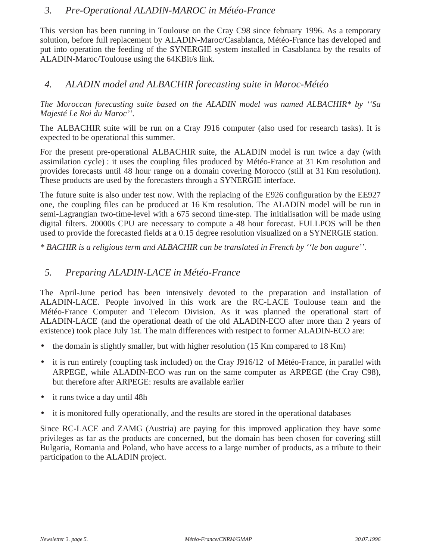#### *3. Pre-Operational ALADIN-MAROC in Météo-France*

This version has been running in Toulouse on the Cray C98 since february 1996. As a temporary solution, before full replacement by ALADIN-Maroc/Casablanca, Météo-France has developed and put into operation the feeding of the SYNERGIE system installed in Casablanca by the results of ALADIN-Maroc/Toulouse using the 64KBit/s link.

#### *4. ALADIN model and ALBACHIR forecasting suite in Maroc-Météo*

*The Moroccan forecasting suite based on the ALADIN model was named ALBACHIR\* by ''Sa Majesté Le Roi du Maroc''.*

The ALBACHIR suite will be run on a Cray J916 computer (also used for research tasks). It is expected to be operational this summer.

For the present pre-operational ALBACHIR suite, the ALADIN model is run twice a day (with assimilation cycle) : it uses the coupling files produced by Météo-France at 31 Km resolution and provides forecasts until 48 hour range on a domain covering Morocco (still at 31 Km resolution). These products are used by the forecasters through a SYNERGIE interface.

The future suite is also under test now. With the replacing of the E926 configuration by the EE927 one, the coupling files can be produced at 16 Km resolution. The ALADIN model will be run in semi-Lagrangian two-time-level with a 675 second time-step. The initialisation will be made using digital filters. 20000s CPU are necessary to compute a 48 hour forecast. FULLPOS will be then used to provide the forecasted fields at a 0.15 degree resolution visualized on a SYNERGIE station.

*\* BACHIR is a religious term and ALBACHIR can be translated in French by ''le bon augure''.*

#### *5. Preparing ALADIN-LACE in Météo-France*

The April-June period has been intensively devoted to the preparation and installation of ALADIN-LACE. People involved in this work are the RC-LACE Toulouse team and the Météo-France Computer and Telecom Division. As it was planned the operational start of ALADIN-LACE (and the operational death of the old ALADIN-ECO after more than 2 years of existence) took place July 1st. The main differences with restpect to former ALADIN-ECO are:

- the domain is slightly smaller, but with higher resolution (15 Km compared to 18 Km)
- it is run entirely (coupling task included) on the Cray J916/12 of Météo-France, in parallel with ARPEGE, while ALADIN-ECO was run on the same computer as ARPEGE (the Cray C98), but therefore after ARPEGE: results are available earlier
- it runs twice a day until 48h
- it is monitored fully operationally, and the results are stored in the operational databases

Since RC-LACE and ZAMG (Austria) are paying for this improved application they have some privileges as far as the products are concerned, but the domain has been chosen for covering still Bulgaria, Romania and Poland, who have access to a large number of products, as a tribute to their participation to the ALADIN project.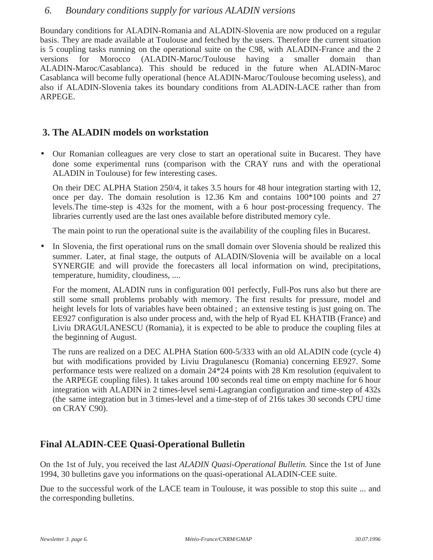#### *6. Boundary conditions supply for various ALADIN versions*

Boundary conditions for ALADIN-Romania and ALADIN-Slovenia are now produced on a regular basis. They are made available at Toulouse and fetched by the users. Therefore the current situation is 5 coupling tasks running on the operational suite on the C98, with ALADIN-France and the 2 versions for Morocco (ALADIN-Maroc/Toulouse having a smaller domain than ALADIN-Maroc/Casablanca). This should be reduced in the future when ALADIN-Maroc Casablanca will become fully operational (hence ALADIN-Maroc/Toulouse becoming useless), and also if ALADIN-Slovenia takes its boundary conditions from ALADIN-LACE rather than from ARPEGE.

#### **3. The ALADIN models on workstation**

• Our Romanian colleagues are very close to start an operational suite in Bucarest. They have done some experimental runs (comparison with the CRAY runs and with the operational ALADIN in Toulouse) for few interesting cases.

On their DEC ALPHA Station 250/4, it takes 3.5 hours for 48 hour integration starting with 12, once per day. The domain resolution is 12.36 Km and contains 100\*100 points and 27 levels.The time-step is 432s for the moment, with a 6 hour post-processing frequency. The libraries currently used are the last ones available before distributed memory cyle.

The main point to run the operational suite is the availability of the coupling files in Bucarest.

• In Slovenia, the first operational runs on the small domain over Slovenia should be realized this summer. Later, at final stage, the outputs of ALADIN/Slovenia will be available on a local SYNERGIE and will provide the forecasters all local information on wind, precipitations, temperature, humidity, cloudiness, ....

For the moment, ALADIN runs in configuration 001 perfectly, Full-Pos runs also but there are still some small problems probably with memory. The first results for pressure, model and height levels for lots of variables have been obtained; an extensive testing is just going on. The EE927 configuration is also under process and, with the help of Ryad EL KHATIB (France) and Liviu DRAGULANESCU (Romania), it is expected to be able to produce the coupling files at the beginning of August.

The runs are realized on a DEC ALPHA Station 600-5/333 with an old ALADIN code (cycle 4) but with modifications provided by Liviu Dragulanescu (Romania) concerning EE927. Some performance tests were realized on a domain 24\*24 points with 28 Km resolution (equivalent to the ARPEGE coupling files). It takes around 100 seconds real time on empty machine for 6 hour integration with ALADIN in 2 times-level semi-Lagrangian configuration and time-step of 432s (the same integration but in 3 times-level and a time-step of of 216s takes 30 seconds CPU time on CRAY C90).

#### **Final ALADIN-CEE Quasi-Operational Bulletin**

On the 1st of July, you received the last *ALADIN Quasi-Operational Bulletin.* Since the 1st of June 1994, 30 bulletins gave you informations on the quasi-operational ALADIN-CEE suite.

Due to the successful work of the LACE team in Toulouse, it was possible to stop this suite ... and the corresponding bulletins.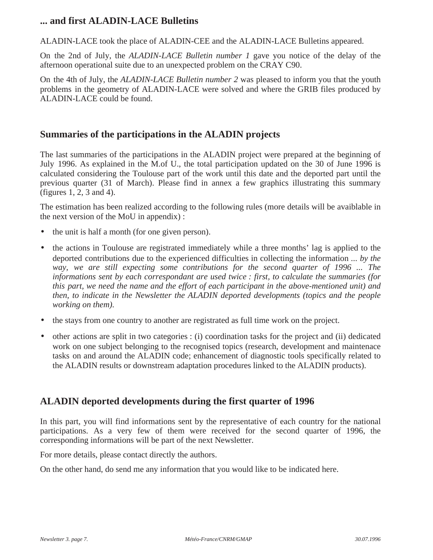#### **... and first ALADIN-LACE Bulletins**

ALADIN-LACE took the place of ALADIN-CEE and the ALADIN-LACE Bulletins appeared.

On the 2nd of July, the *ALADIN-LACE Bulletin number 1* gave you notice of the delay of the afternoon operational suite due to an unexpected problem on the CRAY C90.

On the 4th of July, the *ALADIN-LACE Bulletin number 2* was pleased to inform you that the youth problems in the geometry of ALADIN-LACE were solved and where the GRIB files produced by ALADIN-LACE could be found.

#### **Summaries of the participations in the ALADIN projects**

The last summaries of the participations in the ALADIN project were prepared at the beginning of July 1996. As explained in the M.of U., the total participation updated on the 30 of June 1996 is calculated considering the Toulouse part of the work until this date and the deported part until the previous quarter (31 of March). Please find in annex a few graphics illustrating this summary (figures 1, 2, 3 and 4).

The estimation has been realized according to the following rules (more details will be avaiblable in the next version of the MoU in appendix) :

- the unit is half a month (for one given person).
- the actions in Toulouse are registrated immediately while a three months' lag is applied to the deported contributions due to the experienced difficulties in collecting the information *... by the way, we are still expecting some contributions for the second quarter of 1996 ... The informations sent by each correspondant are used twice : first, to calculate the summaries (for this part, we need the name and the effort of each participant in the above-mentioned unit) and then, to indicate in the Newsletter the ALADIN deported developments (topics and the people working on them).*
- the stays from one country to another are registrated as full time work on the project.
- other actions are split in two categories : (i) coordination tasks for the project and (ii) dedicated work on one subject belonging to the recognised topics (research, development and maintenace tasks on and around the ALADIN code; enhancement of diagnostic tools specifically related to the ALADIN results or downstream adaptation procedures linked to the ALADIN products).

#### **ALADIN deported developments during the first quarter of 1996**

In this part, you will find informations sent by the representative of each country for the national participations. As a very few of them were received for the second quarter of 1996, the corresponding informations will be part of the next Newsletter.

For more details, please contact directly the authors.

On the other hand, do send me any information that you would like to be indicated here.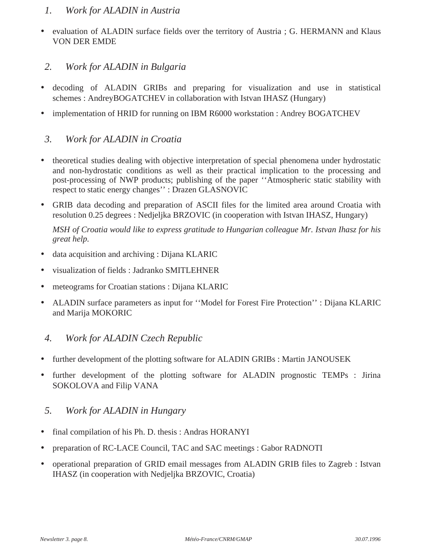#### *1. Work for ALADIN in Austria*

- evaluation of ALADIN surface fields over the territory of Austria ; G. HERMANN and Klaus VON DER EMDE
- *2. Work for ALADIN in Bulgaria*
- decoding of ALADIN GRIBs and preparing for visualization and use in statistical schemes : AndreyBOGATCHEV in collaboration with Istvan IHASZ (Hungary)
- implementation of HRID for running on IBM R6000 workstation : Andrey BOGATCHEV

#### *3. Work for ALADIN in Croatia*

- theoretical studies dealing with objective interpretation of special phenomena under hydrostatic and non-hydrostatic conditions as well as their practical implication to the processing and post-processing of NWP products; publishing of the paper ''Atmospheric static stability with respect to static energy changes'' : Drazen GLASNOVIC
- GRIB data decoding and preparation of ASCII files for the limited area around Croatia with resolution 0.25 degrees : Nedjeljka BRZOVIC (in cooperation with Istvan IHASZ, Hungary)

*MSH of Croatia would like to express gratitude to Hungarian colleague Mr. Istvan Ihasz for his great help.*

- data acquisition and archiving : Dijana KLARIC
- visualization of fields : Jadranko SMITLEHNER
- meteograms for Croatian stations : Dijana KLARIC
- ALADIN surface parameters as input for ''Model for Forest Fire Protection'' : Dijana KLARIC and Marija MOKORIC

#### *4. Work for ALADIN Czech Republic*

- further development of the plotting software for ALADIN GRIBs : Martin JANOUSEK
- further development of the plotting software for ALADIN prognostic TEMPs : Jirina SOKOLOVA and Filip VANA
- *5. Work for ALADIN in Hungary*
- final compilation of his Ph. D. thesis: Andras HORANYI
- preparation of RC-LACE Council, TAC and SAC meetings : Gabor RADNOTI
- operational preparation of GRID email messages from ALADIN GRIB files to Zagreb : Istvan IHASZ (in cooperation with Nedjeljka BRZOVIC, Croatia)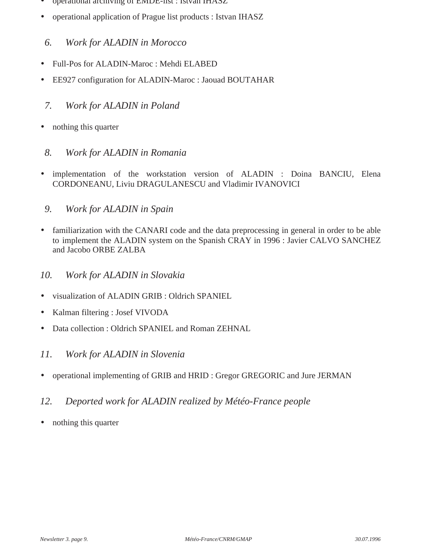- operational archiving of EMDE-list : Istvan IHASZ
- operational application of Prague list products : Istvan IHASZ
	- *6. Work for ALADIN in Morocco*
- Full-Pos for ALADIN-Maroc : Mehdi ELABED
- EE927 configuration for ALADIN-Maroc : Jaouad BOUTAHAR
	- *7. Work for ALADIN in Poland*
- nothing this quarter
- *8. Work for ALADIN in Romania*
- implementation of the workstation version of ALADIN : Doina BANCIU, Elena CORDONEANU, Liviu DRAGULANESCU and Vladimir IVANOVICI
- *9. Work for ALADIN in Spain*
- familiarization with the CANARI code and the data preprocessing in general in order to be able to implement the ALADIN system on the Spanish CRAY in 1996 : Javier CALVO SANCHEZ and Jacobo ORBE ZALBA
- *10. Work for ALADIN in Slovakia*
- visualization of ALADIN GRIB : Oldrich SPANIEL
- Kalman filtering : Josef VIVODA
- Data collection : Oldrich SPANIEL and Roman ZEHNAL
- *11. Work for ALADIN in Slovenia*
- operational implementing of GRIB and HRID : Gregor GREGORIC and Jure JERMAN
- *12. Deported work for ALADIN realized by Météo-France people*
- nothing this quarter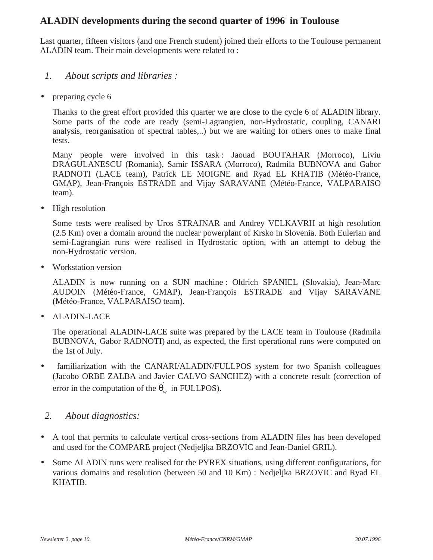#### **ALADIN developments during the second quarter of 1996 in Toulouse**

Last quarter, fifteen visitors (and one French student) joined their efforts to the Toulouse permanent ALADIN team. Their main developments were related to :

- *1. About scripts and libraries :*
- preparing cycle 6

Thanks to the great effort provided this quarter we are close to the cycle 6 of ALADIN library. Some parts of the code are ready (semi-Lagrangien, non-Hydrostatic, coupling, CANARI analysis, reorganisation of spectral tables,..) but we are waiting for others ones to make final tests.

Many people were involved in this task: Jaouad BOUTAHAR (Morroco), Liviu DRAGULANESCU (Romania), Samir ISSARA (Morroco), Radmila BUBNOVA and Gabor RADNOTI (LACE team), Patrick LE MOIGNE and Ryad EL KHATIB (Météo-France, GMAP), Jean-François ESTRADE and Vijay SARAVANE (Météo-France, VALPARAISO team).

• High resolution

Some tests were realised by Uros STRAJNAR and Andrey VELKAVRH at high resolution (2.5 Km) over a domain around the nuclear powerplant of Krsko in Slovenia. Both Eulerian and semi-Lagrangian runs were realised in Hydrostatic option, with an attempt to debug the non-Hydrostatic version.

• Workstation version

ALADIN is now running on a SUN machine : Oldrich SPANIEL (Slovakia), Jean-Marc AUDOIN (Météo-France, GMAP), Jean-François ESTRADE and Vijay SARAVANE (Météo-France, VALPARAISO team).

• ALADIN-LACE

The operational ALADIN-LACE suite was prepared by the LACE team in Toulouse (Radmila BUBNOVA, Gabor RADNOTI) and, as expected, the first operational runs were computed on the 1st of July.

• familiarization with the CANARI/ALADIN/FULLPOS system for two Spanish colleagues (Jacobo ORBE ZALBA and Javier CALVO SANCHEZ) with a concrete result (correction of error in the computation of the  $\theta$ <sup>'</sup> *w* in FULLPOS).

#### *2. About diagnostics:*

- A tool that permits to calculate vertical cross-sections from ALADIN files has been developed and used for the COMPARE project (Nedjeljka BRZOVIC and Jean-Daniel GRIL).
- Some ALADIN runs were realised for the PYREX situations, using different configurations, for various domains and resolution (between 50 and 10 Km) : Nedjeljka BRZOVIC and Ryad EL KHATIB.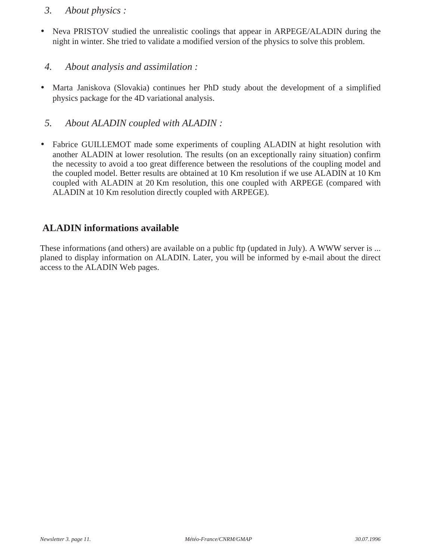#### *3. About physics :*

• Neva PRISTOV studied the unrealistic coolings that appear in ARPEGE/ALADIN during the night in winter. She tried to validate a modified version of the physics to solve this problem.

#### *4. About analysis and assimilation :*

• Marta Janiskova (Slovakia) continues her PhD study about the development of a simplified physics package for the 4D variational analysis.

#### *5. About ALADIN coupled with ALADIN :*

• Fabrice GUILLEMOT made some experiments of coupling ALADIN at hight resolution with another ALADIN at lower resolution. The results (on an exceptionally rainy situation) confirm the necessity to avoid a too great difference between the resolutions of the coupling model and the coupled model. Better results are obtained at 10 Km resolution if we use ALADIN at 10 Km coupled with ALADIN at 20 Km resolution, this one coupled with ARPEGE (compared with ALADIN at 10 Km resolution directly coupled with ARPEGE).

#### **ALADIN informations available**

These informations (and others) are available on a public ftp (updated in July). A WWW server is ... planed to display information on ALADIN. Later, you will be informed by e-mail about the direct access to the ALADIN Web pages.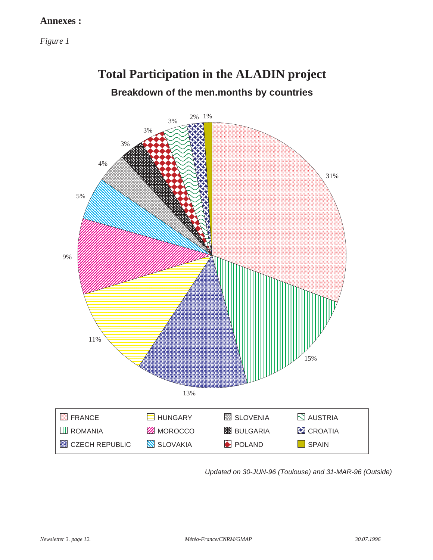#### **Annexes :**

*Figure 1*

### **Total Participation in the ALADIN project**

### **Breakdown of the men.months by countries**



Updated on 30-JUN-96 (Toulouse) and 31-MAR-96 (Outside)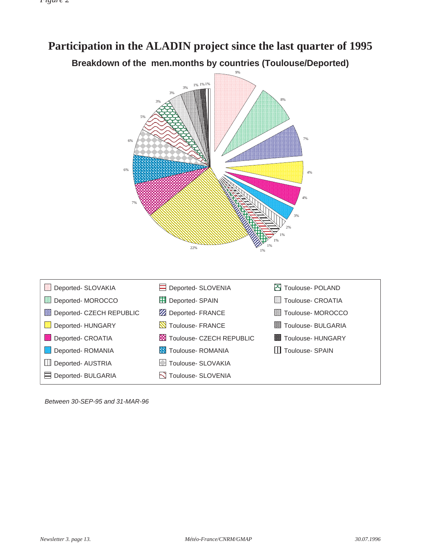### **Participation in the ALADIN project since the last quarter of 1995 Breakdown of the men.months by countries (Toulouse/Deported)**



Between 30-SEP-95 and 31-MAR-96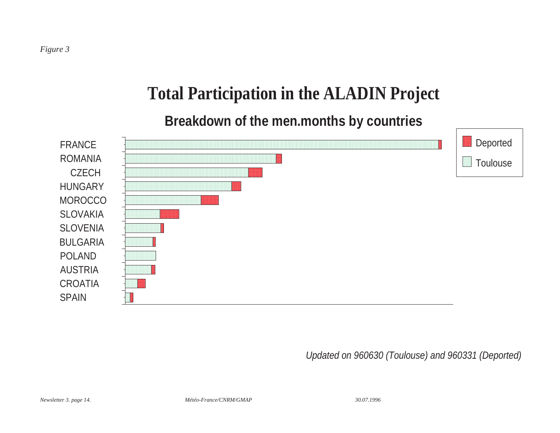# **Total Participation in the ALADIN Project**

## **Breakdown of the men.months by countries**



Updated on 960630 (Toulouse) and 960331 (Deported)